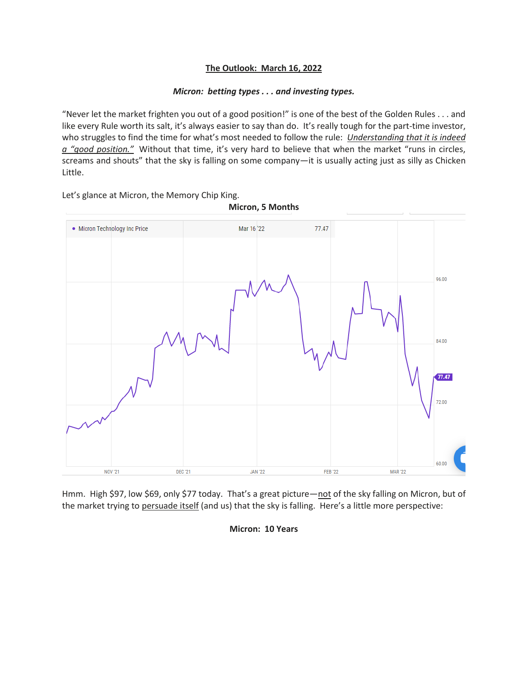## **The Outlook: March 16, 2022**

## *Micron: betting types . . . and investing types.*

"Never let the market frighten you out of a good position!" is one of the best of the Golden Rules . . . and like every Rule worth its salt, it's always easier to say than do. It's really tough for the part-time investor, who struggles to find the time for what's most needed to follow the rule: *Understanding that it is indeed a "good position."* Without that time, it's very hard to believe that when the market "runs in circles, screams and shouts" that the sky is falling on some company—it is usually acting just as silly as Chicken Little.

Let's glance at Micron, the Memory Chip King.



Hmm. High \$97, low \$69, only \$77 today. That's a great picture—not of the sky falling on Micron, but of the market trying to persuade itself (and us) that the sky is falling. Here's a little more perspective:

**Micron: 10 Years**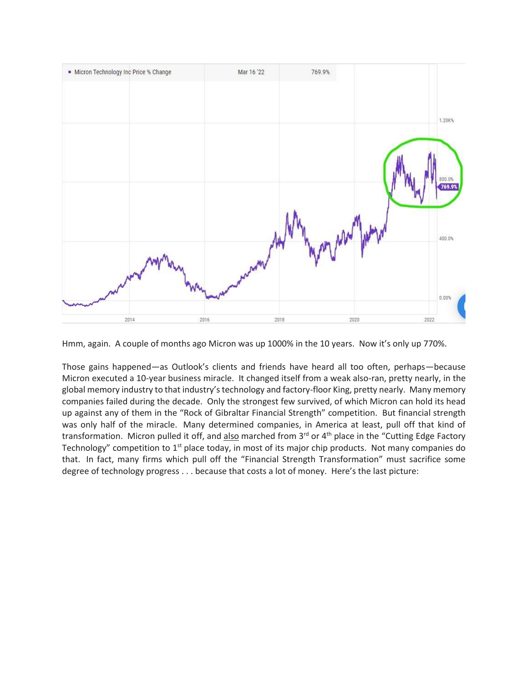

Hmm, again. A couple of months ago Micron was up 1000% in the 10 years. Now it's only up 770%.

Those gains happened—as Outlook's clients and friends have heard all too often, perhaps—because Micron executed a 10-year business miracle. It changed itself from a weak also-ran, pretty nearly, in the global memory industry to that industry's technology and factory-floor King, pretty nearly. Many memory companies failed during the decade. Only the strongest few survived, of which Micron can hold its head up against any of them in the "Rock of Gibraltar Financial Strength" competition. But financial strength was only half of the miracle. Many determined companies, in America at least, pull off that kind of transformation. Micron pulled it off, and also marched from 3<sup>rd</sup> or 4<sup>th</sup> place in the "Cutting Edge Factory Technology" competition to 1<sup>st</sup> place today, in most of its major chip products. Not many companies do that. In fact, many firms which pull off the "Financial Strength Transformation" must sacrifice some degree of technology progress . . . because that costs a lot of money. Here's the last picture: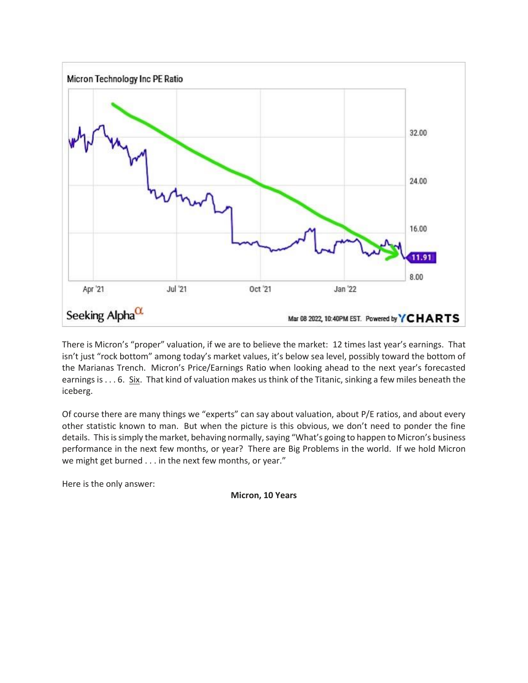

There is Micron's "proper" valuation, if we are to believe the market: 12 times last year's earnings. That isn't just "rock bottom" among today's market values, it's below sea level, possibly toward the bottom of the Marianas Trench. Micron's Price/Earnings Ratio when looking ahead to the next year's forecasted earnings is . . . 6. Six. That kind of valuation makes us think of the Titanic, sinking a few miles beneath the iceberg.

Of course there are many things we "experts" can say about valuation, about P/E ratios, and about every other statistic known to man. But when the picture is this obvious, we don't need to ponder the fine details. This is simply the market, behaving normally, saying "What's going to happen to Micron's business performance in the next few months, or year? There are Big Problems in the world. If we hold Micron we might get burned . . . in the next few months, or year."

Here is the only answer:

**Micron, 10 Years**